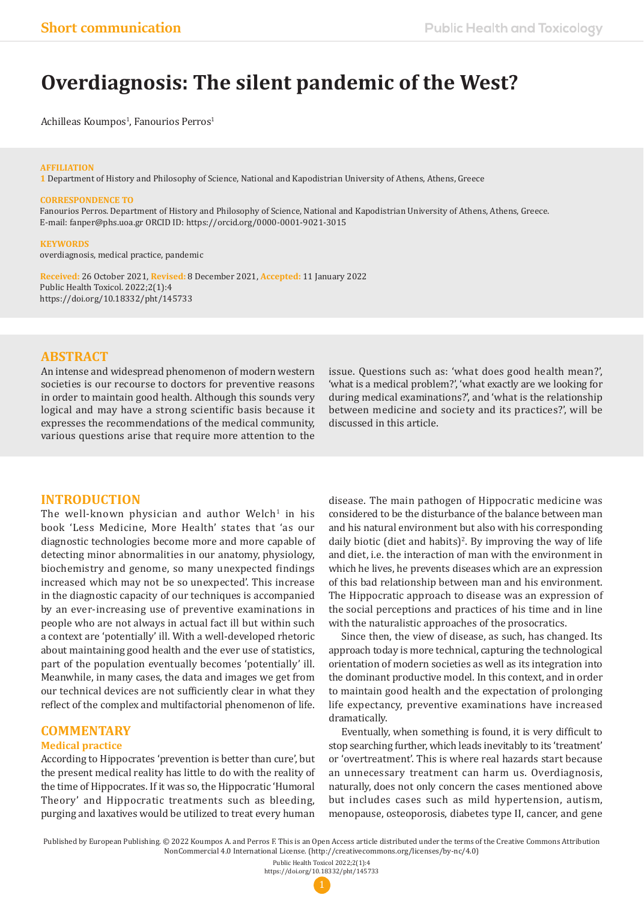# **Overdiagnosis: The silent pandemic of the West?**

Achilleas Koumpos<sup>i</sup>, Fanourios Perros<sup>i</sup>

### **AFFILIATION**

**1** Department of History and Philosophy of Science, National and Kapodistrian University of Athens, Athens, Greece

#### **CORRESPONDENCE TO**

Fanourios Perros. Department of History and Philosophy of Science, National and Kapodistrian University of Athens, Athens, Greece. E-mail: fanper@phs.uoa.gr ORCID ID: https://orcid.org/0000-0001-9021-3015

#### **KEYWORDS**

overdiagnosis, medical practice, pandemic

**Received:** 26 October 2021, **Revised:** 8 December 2021, **Accepted:** 11 January 2022 Public Health Toxicol. 2022;2(1):4 https://doi.org/10.18332/pht/145733

### **ABSTRACT**

An intense and widespread phenomenon of modern western societies is our recourse to doctors for preventive reasons in order to maintain good health. Although this sounds very logical and may have a strong scientific basis because it expresses the recommendations of the medical community, various questions arise that require more attention to the

### **INTRODUCTION**

The well-known physician and author Welch<sup>1</sup> in his book 'Less Medicine, More Health' states that 'as our diagnostic technologies become more and more capable of detecting minor abnormalities in our anatomy, physiology, biochemistry and genome, so many unexpected findings increased which may not be so unexpected'. This increase in the diagnostic capacity of our techniques is accompanied by an ever-increasing use of preventive examinations in people who are not always in actual fact ill but within such a context are 'potentially' ill. With a well-developed rhetoric about maintaining good health and the ever use of statistics, part of the population eventually becomes 'potentially' ill. Meanwhile, in many cases, the data and images we get from our technical devices are not sufficiently clear in what they reflect of the complex and multifactorial phenomenon of life.

## **COMMENTARY**

### **Medical practice**

According to Hippocrates 'prevention is better than cure', but the present medical reality has little to do with the reality of the time of Hippocrates. If it was so, the Hippocratic 'Humoral Theory' and Hippocratic treatments such as bleeding, purging and laxatives would be utilized to treat every human

issue. Questions such as: 'what does good health mean?', 'what is a medical problem?', 'what exactly are we looking for during medical examinations?', and 'what is the relationship between medicine and society and its practices?', will be discussed in this article.

disease. The main pathogen of Hippocratic medicine was considered to be the disturbance of the balance between man and his natural environment but also with his corresponding daily biotic (diet and habits)<sup>2</sup>. By improving the way of life and diet, i.e. the interaction of man with the environment in which he lives, he prevents diseases which are an expression of this bad relationship between man and his environment. The Hippocratic approach to disease was an expression of the social perceptions and practices of his time and in line with the naturalistic approaches of the prosocratics.

Since then, the view of disease, as such, has changed. Its approach today is more technical, capturing the technological orientation of modern societies as well as its integration into the dominant productive model. In this context, and in order to maintain good health and the expectation of prolonging life expectancy, preventive examinations have increased dramatically.

Eventually, when something is found, it is very difficult to stop searching further, which leads inevitably to its 'treatment' or 'overtreatment'. This is where real hazards start because an unnecessary treatment can harm us. Overdiagnosis, naturally, does not only concern the cases mentioned above but includes cases such as mild hypertension, autism, menopause, osteoporosis, diabetes type II, cancer, and gene

Published by European Publishing. © 2022 Koumpos A. and Perros F. This is an Open Access article distributed under the terms of the Creative Commons Attribution NonCommercial 4.0 International License. (http://creativecommons.org/licenses/by-nc/4.0)

Public Health Toxicol 2022;2(1):4 https://doi.org/10.18332/pht/145733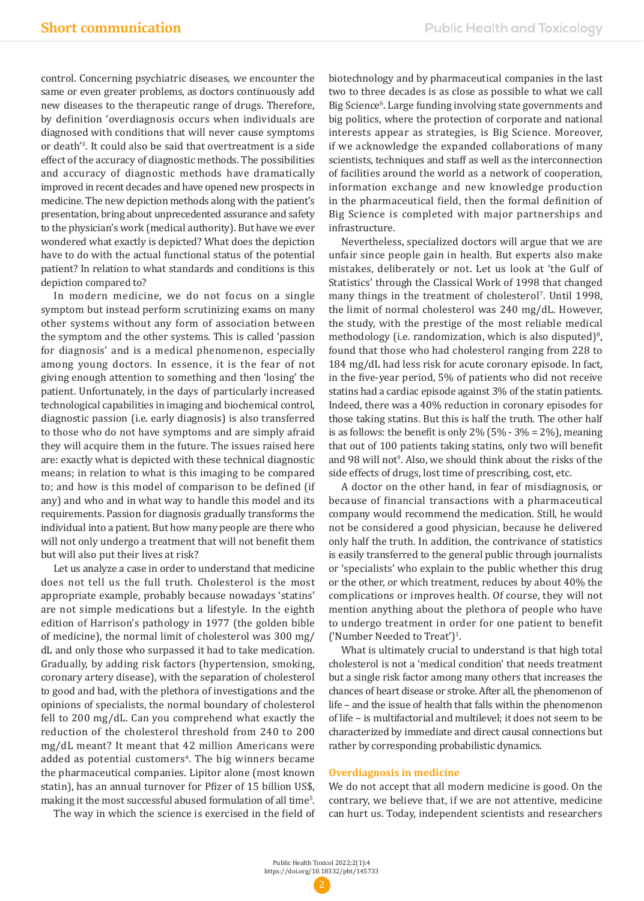control. Concerning psychiatric diseases, we encounter the same or even greater problems, as doctors continuously add new diseases to the therapeutic range of drugs. Therefore, by definition 'overdiagnosis occurs when individuals are diagnosed with conditions that will never cause symptoms or death'3 . It could also be said that overtreatment is a side effect of the accuracy of diagnostic methods. The possibilities and accuracy of diagnostic methods have dramatically improved in recent decades and have opened new prospects in medicine. The new depiction methods along with the patient's presentation, bring about unprecedented assurance and safety to the physician's work (medical authority). But have we ever wondered what exactly is depicted? What does the depiction have to do with the actual functional status of the potential patient? In relation to what standards and conditions is this depiction compared to?

In modern medicine, we do not focus on a single symptom but instead perform scrutinizing exams on many other systems without any form of association between the symptom and the other systems. This is called 'passion for diagnosis' and is a medical phenomenon, especially among young doctors. In essence, it is the fear of not giving enough attention to something and then 'losing' the patient. Unfortunately, in the days of particularly increased technological capabilities in imaging and biochemical control, diagnostic passion (i.e. early diagnosis) is also transferred to those who do not have symptoms and are simply afraid they will acquire them in the future. The issues raised here are: exactly what is depicted with these technical diagnostic means; in relation to what is this imaging to be compared to; and how is this model of comparison to be defined (if any) and who and in what way to handle this model and its requirements. Passion for diagnosis gradually transforms the individual into a patient. But how many people are there who will not only undergo a treatment that will not benefit them but will also put their lives at risk?

Let us analyze a case in order to understand that medicine does not tell us the full truth. Cholesterol is the most appropriate example, probably because nowadays 'statins' are not simple medications but a lifestyle. In the eighth edition of Harrison's pathology in 1977 (the golden bible of medicine), the normal limit of cholesterol was 300 mg/ dL and only those who surpassed it had to take medication. Gradually, by adding risk factors (hypertension, smoking, coronary artery disease), with the separation of cholesterol to good and bad, with the plethora of investigations and the opinions of specialists, the normal boundary of cholesterol fell to 200 mg/dL. Can you comprehend what exactly the reduction of the cholesterol threshold from 240 to 200 mg/dL meant? It meant that 42 million Americans were added as potential customers<sup>4</sup>. The big winners became the pharmaceutical companies. Lipitor alone (most known statin), has an annual turnover for Pfizer of 15 billion US\$, making it the most successful abused formulation of all time5 .

The way in which the science is exercised in the field of

biotechnology and by pharmaceutical companies in the last two to three decades is as close as possible to what we call Big Science<sup>6</sup>. Large funding involving state governments and big politics, where the protection of corporate and national interests appear as strategies, is Big Science. Moreover, if we acknowledge the expanded collaborations of many scientists, techniques and staff as well as the interconnection of facilities around the world as a network of cooperation, information exchange and new knowledge production in the pharmaceutical field, then the formal definition of Big Science is completed with major partnerships and infrastructure.

Nevertheless, specialized doctors will argue that we are unfair since people gain in health. But experts also make mistakes, deliberately or not. Let us look at 'the Gulf of Statistics' through the Classical Work of 1998 that changed many things in the treatment of cholesterol'. Until 1998, the limit of normal cholesterol was 240 mg/dL. However, the study, with the prestige of the most reliable medical methodology (i.e. randomization, which is also disputed)<sup>8</sup>, found that those who had cholesterol ranging from 228 to 184 mg/dL had less risk for acute coronary episode. In fact, in the five-year period, 5% of patients who did not receive statins had a cardiac episode against 3% of the statin patients. Indeed, there was a 40% reduction in coronary episodes for those taking statins. But this is half the truth. The other half is as follows: the benefit is only  $2\%$  (5% - 3% = 2%), meaning that out of 100 patients taking statins, only two will benefit and 98 will not<sup>9</sup>. Also, we should think about the risks of the side effects of drugs, lost time of prescribing, cost, etc.

A doctor on the other hand, in fear of misdiagnosis, or because of financial transactions with a pharmaceutical company would recommend the medication. Still, he would not be considered a good physician, because he delivered only half the truth. In addition, the contrivance of statistics is easily transferred to the general public through journalists or 'specialists' who explain to the public whether this drug or the other, or which treatment, reduces by about 40% the complications or improves health. Of course, they will not mention anything about the plethora of people who have to undergo treatment in order for one patient to benefit  $('Number Needed to Treat')<sup>1</sup>$ .

What is ultimately crucial to understand is that high total cholesterol is not a 'medical condition' that needs treatment but a single risk factor among many others that increases the chances of heart disease or stroke. After all, the phenomenon of life – and the issue of health that falls within the phenomenon of life – is multifactorial and multilevel; it does not seem to be characterized by immediate and direct causal connections but rather by corresponding probabilistic dynamics.

### **Overdiagnosis in medicine**

We do not accept that all modern medicine is good. On the contrary, we believe that, if we are not attentive, medicine can hurt us. Today, independent scientists and researchers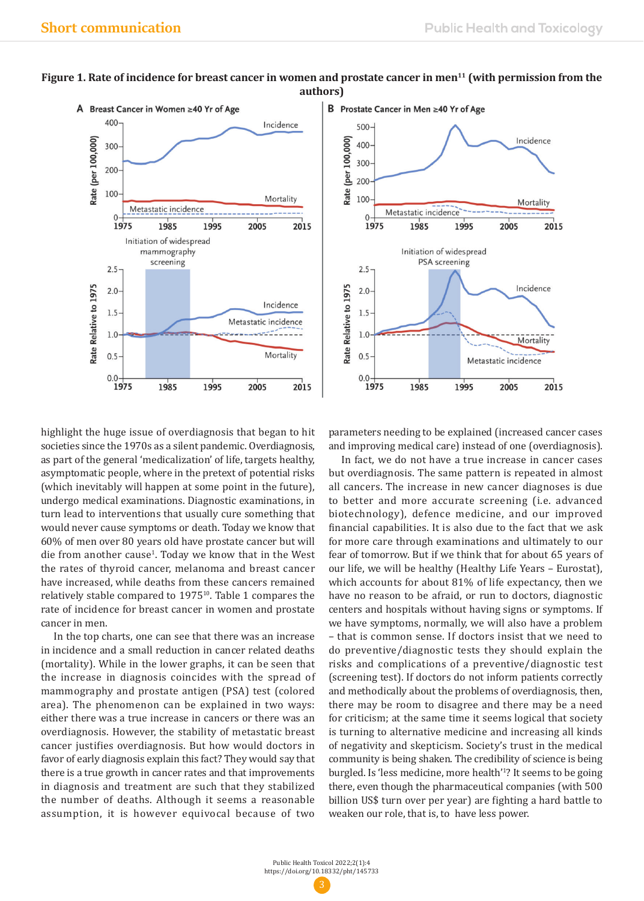



### highlight the huge issue of overdiagnosis that began to hit societies since the 1970s as a silent pandemic. Overdiagnosis, as part of the general 'medicalization' of life, targets healthy, asymptomatic people, where in the pretext of potential risks (which inevitably will happen at some point in the future), undergo medical examinations. Diagnostic examinations, in turn lead to interventions that usually cure something that would never cause symptoms or death. Today we know that 60% of men over 80 years old have prostate cancer but will die from another cause<sup>1</sup>. Today we know that in the West the rates of thyroid cancer, melanoma and breast cancer have increased, while deaths from these cancers remained relatively stable compared to 1975<sup>10</sup>. Table 1 compares the rate of incidence for breast cancer in women and prostate cancer in men.

In the top charts, one can see that there was an increase in incidence and a small reduction in cancer related deaths (mortality). While in the lower graphs, it can be seen that the increase in diagnosis coincides with the spread of mammography and prostate antigen (PSA) test (colored area). The phenomenon can be explained in two ways: either there was a true increase in cancers or there was an overdiagnosis. However, the stability of metastatic breast cancer justifies overdiagnosis. But how would doctors in favor of early diagnosis explain this fact? They would say that there is a true growth in cancer rates and that improvements in diagnosis and treatment are such that they stabilized the number of deaths. Although it seems a reasonable assumption, it is however equivocal because of two

parameters needing to be explained (increased cancer cases and improving medical care) instead of one (overdiagnosis).

In fact, we do not have a true increase in cancer cases but overdiagnosis. The same pattern is repeated in almost all cancers. The increase in new cancer diagnoses is due to better and more accurate screening (i.e. advanced biotechnology), defence medicine, and our improved financial capabilities. It is also due to the fact that we ask for more care through examinations and ultimately to our fear of tomorrow. But if we think that for about 65 years of our life, we will be healthy (Healthy Life Years – Eurostat), which accounts for about 81% of life expectancy, then we have no reason to be afraid, or run to doctors, diagnostic centers and hospitals without having signs or symptoms. If we have symptoms, normally, we will also have a problem – that is common sense. If doctors insist that we need to do preventive/diagnostic tests they should explain the risks and complications of a preventive/diagnostic test (screening test). If doctors do not inform patients correctly and methodically about the problems of overdiagnosis, then, there may be room to disagree and there may be a need for criticism; at the same time it seems logical that society is turning to alternative medicine and increasing all kinds of negativity and skepticism. Society's trust in the medical community is being shaken. The credibility of science is being burgled. Is 'less medicine, more health'1 ? It seems to be going there, even though the pharmaceutical companies (with 500 billion US\$ turn over per year) are fighting a hard battle to weaken our role, that is, to have less power.

### Figure 1. Rate of incidence for breast cancer in women and prostate cancer in men<sup>11</sup> (with permission from the **authors)**

Public Health Toxicol 2022;2(1):4 https://doi.org/10.18332/pht/145733